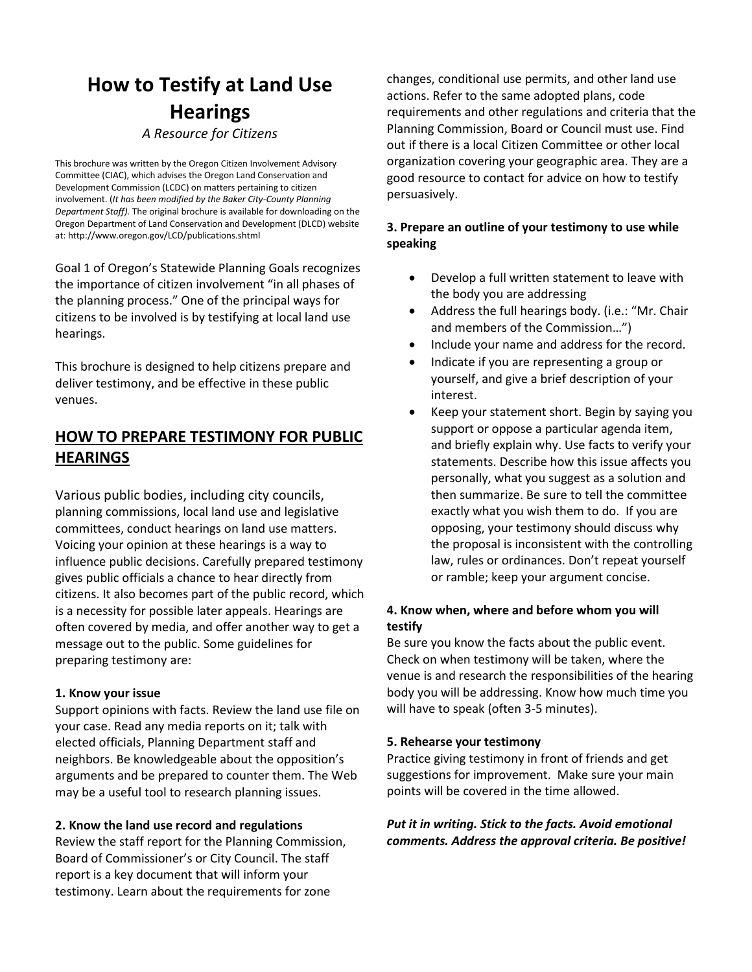# **How to Testify at Land Use Hearings** *A Resource for Citizens*

This brochure was written by the Oregon Citizen Involvement Advisory Committee (CIAC), which advises the Oregon Land Conservation and Development Commission (LCDC) on matters pertaining to citizen involvement. (*It has been modified by the Baker City-County Planning Department Staff).* The original brochure is available for downloading on the Oregon Department of Land Conservation and Development (DLCD) website at: http://www.oregon.gov/LCD/publications.shtml

Goal 1 of Oregon's Statewide Planning Goals recognizes the importance of citizen involvement "in all phases of the planning process." One of the principal ways for citizens to be involved is by testifying at local land use hearings.

This brochure is designed to help citizens prepare and deliver testimony, and be effective in these public venues.

# **HOW TO PREPARE TESTIMONY FOR PUBLIC HEARINGS**

Various public bodies, including city councils, planning commissions, local land use and legislative committees, conduct hearings on land use matters. Voicing your opinion at these hearings is a way to influence public decisions. Carefully prepared testimony gives public officials a chance to hear directly from citizens. It also becomes part of the public record, which is a necessity for possible later appeals. Hearings are often covered by media, and offer another way to get a message out to the public. Some guidelines for preparing testimony are:

### **1. Know your issue**

Support opinions with facts. Review the land use file on your case. Read any media reports on it; talk with elected officials, Planning Department staff and neighbors. Be knowledgeable about the opposition's arguments and be prepared to counter them. The Web may be a useful tool to research planning issues.

### **2. Know the land use record and regulations**

Review the staff report for the Planning Commission, Board of Commissioner's or City Council. The staff report is a key document that will inform your testimony. Learn about the requirements for zone

changes, conditional use permits, and other land use actions. Refer to the same adopted plans, code requirements and other regulations and criteria that the Planning Commission, Board or Council must use. Find out if there is a local Citizen Committee or other local organization covering your geographic area. They are a good resource to contact for advice on how to testify persuasively.

# **3. Prepare an outline of your testimony to use while speaking**

- Develop a full written statement to leave with the body you are addressing
- Address the full hearings body. (i.e.: "Mr. Chair and members of the Commission…")
- Include your name and address for the record.
- Indicate if you are representing a group or yourself, and give a brief description of your interest.
- Keep your statement short. Begin by saying you support or oppose a particular agenda item, and briefly explain why. Use facts to verify your statements. Describe how this issue affects you personally, what you suggest as a solution and then summarize. Be sure to tell the committee exactly what you wish them to do. If you are opposing, your testimony should discuss why the proposal is inconsistent with the controlling law, rules or ordinances. Don't repeat yourself or ramble; keep your argument concise.

# **4. Know when, where and before whom you will testify**

Be sure you know the facts about the public event. Check on when testimony will be taken, where the venue is and research the responsibilities of the hearing body you will be addressing. Know how much time you will have to speak (often 3-5 minutes).

### **5. Rehearse your testimony**

Practice giving testimony in front of friends and get suggestions for improvement. Make sure your main points will be covered in the time allowed.

# *Put it in writing. Stick to the facts. Avoid emotional comments. Address the approval criteria. Be positive!*